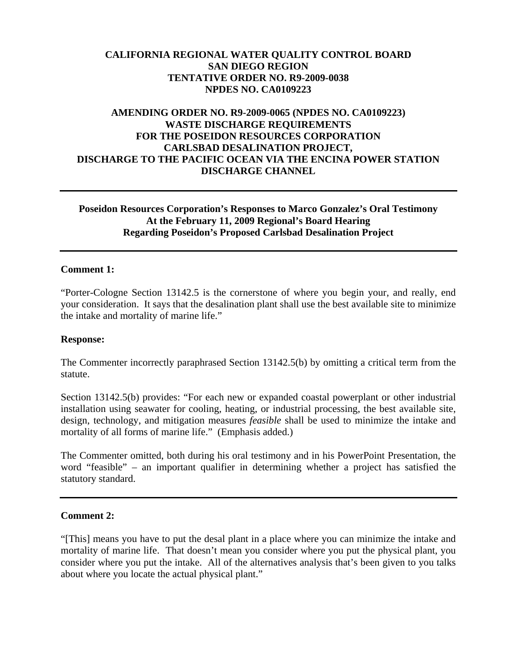# **CALIFORNIA REGIONAL WATER QUALITY CONTROL BOARD SAN DIEGO REGION TENTATIVE ORDER NO. R9-2009-0038 NPDES NO. CA0109223**

# **AMENDING ORDER NO. R9-2009-0065 (NPDES NO. CA0109223) WASTE DISCHARGE REQUIREMENTS FOR THE POSEIDON RESOURCES CORPORATION CARLSBAD DESALINATION PROJECT, DISCHARGE TO THE PACIFIC OCEAN VIA THE ENCINA POWER STATION DISCHARGE CHANNEL**

# **Poseidon Resources Corporation's Responses to Marco Gonzalez's Oral Testimony At the February 11, 2009 Regional's Board Hearing Regarding Poseidon's Proposed Carlsbad Desalination Project**

### **Comment 1:**

"Porter-Cologne Section 13142.5 is the cornerstone of where you begin your, and really, end your consideration. It says that the desalination plant shall use the best available site to minimize the intake and mortality of marine life."

#### **Response:**

The Commenter incorrectly paraphrased Section 13142.5(b) by omitting a critical term from the statute.

Section 13142.5(b) provides: "For each new or expanded coastal powerplant or other industrial installation using seawater for cooling, heating, or industrial processing, the best available site, design, technology, and mitigation measures *feasible* shall be used to minimize the intake and mortality of all forms of marine life." (Emphasis added.)

The Commenter omitted, both during his oral testimony and in his PowerPoint Presentation, the word "feasible" – an important qualifier in determining whether a project has satisfied the statutory standard.

### **Comment 2:**

"[This] means you have to put the desal plant in a place where you can minimize the intake and mortality of marine life. That doesn't mean you consider where you put the physical plant, you consider where you put the intake. All of the alternatives analysis that's been given to you talks about where you locate the actual physical plant."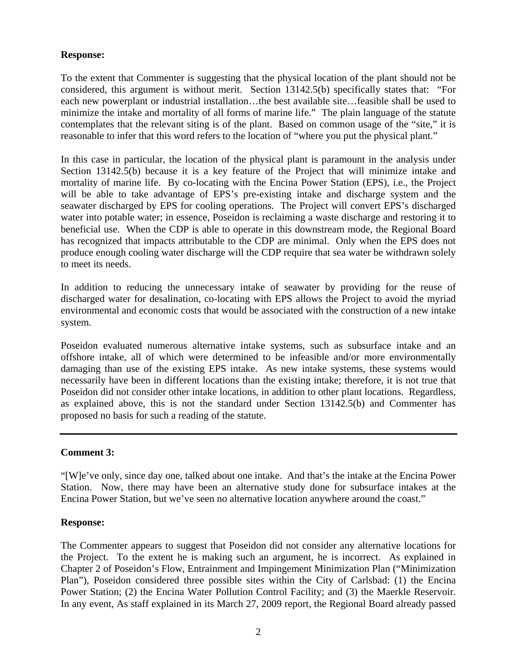# **Response:**

To the extent that Commenter is suggesting that the physical location of the plant should not be considered, this argument is without merit. Section 13142.5(b) specifically states that: "For each new powerplant or industrial installation…the best available site…feasible shall be used to minimize the intake and mortality of all forms of marine life." The plain language of the statute contemplates that the relevant siting is of the plant. Based on common usage of the "site," it is reasonable to infer that this word refers to the location of "where you put the physical plant."

In this case in particular, the location of the physical plant is paramount in the analysis under Section 13142.5(b) because it is a key feature of the Project that will minimize intake and mortality of marine life. By co-locating with the Encina Power Station (EPS), i.e., the Project will be able to take advantage of EPS's pre-existing intake and discharge system and the seawater discharged by EPS for cooling operations. The Project will convert EPS's discharged water into potable water; in essence, Poseidon is reclaiming a waste discharge and restoring it to beneficial use. When the CDP is able to operate in this downstream mode, the Regional Board has recognized that impacts attributable to the CDP are minimal. Only when the EPS does not produce enough cooling water discharge will the CDP require that sea water be withdrawn solely to meet its needs.

In addition to reducing the unnecessary intake of seawater by providing for the reuse of discharged water for desalination, co-locating with EPS allows the Project to avoid the myriad environmental and economic costs that would be associated with the construction of a new intake system.

Poseidon evaluated numerous alternative intake systems, such as subsurface intake and an offshore intake, all of which were determined to be infeasible and/or more environmentally damaging than use of the existing EPS intake. As new intake systems, these systems would necessarily have been in different locations than the existing intake; therefore, it is not true that Poseidon did not consider other intake locations, in addition to other plant locations. Regardless, as explained above, this is not the standard under Section 13142.5(b) and Commenter has proposed no basis for such a reading of the statute.

# **Comment 3:**

"[W]e've only, since day one, talked about one intake. And that's the intake at the Encina Power Station. Now, there may have been an alternative study done for subsurface intakes at the Encina Power Station, but we've seen no alternative location anywhere around the coast."

## **Response:**

The Commenter appears to suggest that Poseidon did not consider any alternative locations for the Project. To the extent he is making such an argument, he is incorrect. As explained in Chapter 2 of Poseidon's Flow, Entrainment and Impingement Minimization Plan ("Minimization Plan"), Poseidon considered three possible sites within the City of Carlsbad: (1) the Encina Power Station; (2) the Encina Water Pollution Control Facility; and (3) the Maerkle Reservoir. In any event, As staff explained in its March 27, 2009 report, the Regional Board already passed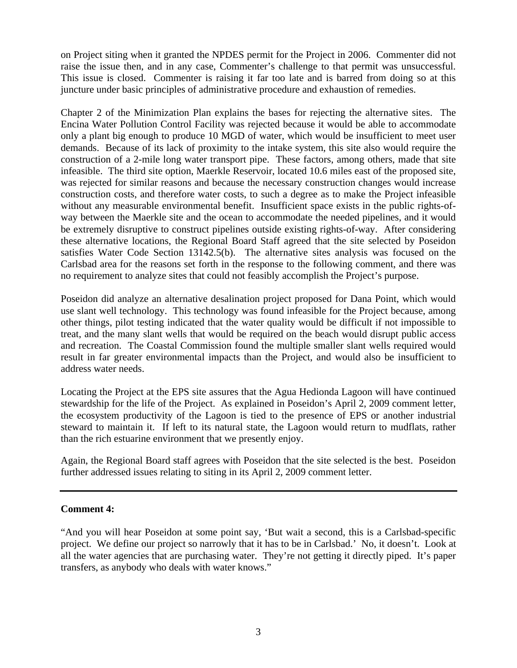on Project siting when it granted the NPDES permit for the Project in 2006. Commenter did not raise the issue then, and in any case, Commenter's challenge to that permit was unsuccessful. This issue is closed. Commenter is raising it far too late and is barred from doing so at this juncture under basic principles of administrative procedure and exhaustion of remedies.

Chapter 2 of the Minimization Plan explains the bases for rejecting the alternative sites. The Encina Water Pollution Control Facility was rejected because it would be able to accommodate only a plant big enough to produce 10 MGD of water, which would be insufficient to meet user demands. Because of its lack of proximity to the intake system, this site also would require the construction of a 2-mile long water transport pipe. These factors, among others, made that site infeasible. The third site option, Maerkle Reservoir, located 10.6 miles east of the proposed site, was rejected for similar reasons and because the necessary construction changes would increase construction costs, and therefore water costs, to such a degree as to make the Project infeasible without any measurable environmental benefit. Insufficient space exists in the public rights-ofway between the Maerkle site and the ocean to accommodate the needed pipelines, and it would be extremely disruptive to construct pipelines outside existing rights-of-way. After considering these alternative locations, the Regional Board Staff agreed that the site selected by Poseidon satisfies Water Code Section 13142.5(b). The alternative sites analysis was focused on the Carlsbad area for the reasons set forth in the response to the following comment, and there was no requirement to analyze sites that could not feasibly accomplish the Project's purpose.

Poseidon did analyze an alternative desalination project proposed for Dana Point, which would use slant well technology. This technology was found infeasible for the Project because, among other things, pilot testing indicated that the water quality would be difficult if not impossible to treat, and the many slant wells that would be required on the beach would disrupt public access and recreation. The Coastal Commission found the multiple smaller slant wells required would result in far greater environmental impacts than the Project, and would also be insufficient to address water needs.

Locating the Project at the EPS site assures that the Agua Hedionda Lagoon will have continued stewardship for the life of the Project. As explained in Poseidon's April 2, 2009 comment letter, the ecosystem productivity of the Lagoon is tied to the presence of EPS or another industrial steward to maintain it. If left to its natural state, the Lagoon would return to mudflats, rather than the rich estuarine environment that we presently enjoy.

Again, the Regional Board staff agrees with Poseidon that the site selected is the best. Poseidon further addressed issues relating to siting in its April 2, 2009 comment letter.

## **Comment 4:**

"And you will hear Poseidon at some point say, 'But wait a second, this is a Carlsbad-specific project. We define our project so narrowly that it has to be in Carlsbad.' No, it doesn't. Look at all the water agencies that are purchasing water. They're not getting it directly piped. It's paper transfers, as anybody who deals with water knows."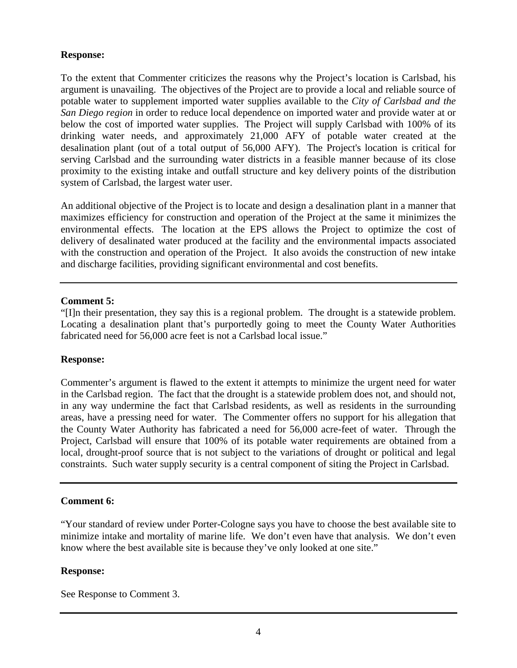# **Response:**

To the extent that Commenter criticizes the reasons why the Project's location is Carlsbad, his argument is unavailing. The objectives of the Project are to provide a local and reliable source of potable water to supplement imported water supplies available to the *City of Carlsbad and the San Diego region* in order to reduce local dependence on imported water and provide water at or below the cost of imported water supplies. The Project will supply Carlsbad with 100% of its drinking water needs, and approximately 21,000 AFY of potable water created at the desalination plant (out of a total output of 56,000 AFY). The Project's location is critical for serving Carlsbad and the surrounding water districts in a feasible manner because of its close proximity to the existing intake and outfall structure and key delivery points of the distribution system of Carlsbad, the largest water user.

An additional objective of the Project is to locate and design a desalination plant in a manner that maximizes efficiency for construction and operation of the Project at the same it minimizes the environmental effects. The location at the EPS allows the Project to optimize the cost of delivery of desalinated water produced at the facility and the environmental impacts associated with the construction and operation of the Project. It also avoids the construction of new intake and discharge facilities, providing significant environmental and cost benefits.

# **Comment 5:**

"[I]n their presentation, they say this is a regional problem. The drought is a statewide problem. Locating a desalination plant that's purportedly going to meet the County Water Authorities fabricated need for 56,000 acre feet is not a Carlsbad local issue."

## **Response:**

Commenter's argument is flawed to the extent it attempts to minimize the urgent need for water in the Carlsbad region. The fact that the drought is a statewide problem does not, and should not, in any way undermine the fact that Carlsbad residents, as well as residents in the surrounding areas, have a pressing need for water. The Commenter offers no support for his allegation that the County Water Authority has fabricated a need for 56,000 acre-feet of water. Through the Project, Carlsbad will ensure that 100% of its potable water requirements are obtained from a local, drought-proof source that is not subject to the variations of drought or political and legal constraints. Such water supply security is a central component of siting the Project in Carlsbad.

## **Comment 6:**

"Your standard of review under Porter-Cologne says you have to choose the best available site to minimize intake and mortality of marine life. We don't even have that analysis. We don't even know where the best available site is because they've only looked at one site."

## **Response:**

See Response to Comment 3.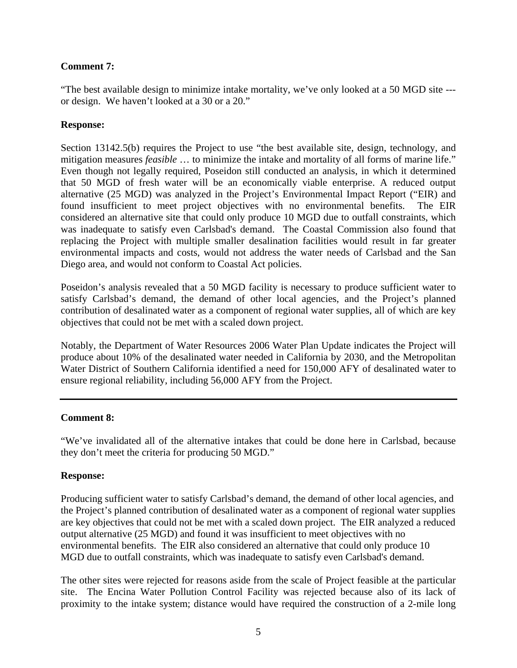# **Comment 7:**

"The best available design to minimize intake mortality, we've only looked at a 50 MGD site -- or design. We haven't looked at a 30 or a 20."

## **Response:**

Section 13142.5(b) requires the Project to use "the best available site, design, technology, and mitigation measures *feasible* … to minimize the intake and mortality of all forms of marine life." Even though not legally required, Poseidon still conducted an analysis, in which it determined that 50 MGD of fresh water will be an economically viable enterprise. A reduced output alternative (25 MGD) was analyzed in the Project's Environmental Impact Report ("EIR) and found insufficient to meet project objectives with no environmental benefits. The EIR considered an alternative site that could only produce 10 MGD due to outfall constraints, which was inadequate to satisfy even Carlsbad's demand. The Coastal Commission also found that replacing the Project with multiple smaller desalination facilities would result in far greater environmental impacts and costs, would not address the water needs of Carlsbad and the San Diego area, and would not conform to Coastal Act policies.

Poseidon's analysis revealed that a 50 MGD facility is necessary to produce sufficient water to satisfy Carlsbad's demand, the demand of other local agencies, and the Project's planned contribution of desalinated water as a component of regional water supplies, all of which are key objectives that could not be met with a scaled down project.

Notably, the Department of Water Resources 2006 Water Plan Update indicates the Project will produce about 10% of the desalinated water needed in California by 2030, and the Metropolitan Water District of Southern California identified a need for 150,000 AFY of desalinated water to ensure regional reliability, including 56,000 AFY from the Project.

# **Comment 8:**

"We've invalidated all of the alternative intakes that could be done here in Carlsbad, because they don't meet the criteria for producing 50 MGD."

## **Response:**

Producing sufficient water to satisfy Carlsbad's demand, the demand of other local agencies, and the Project's planned contribution of desalinated water as a component of regional water supplies are key objectives that could not be met with a scaled down project. The EIR analyzed a reduced output alternative (25 MGD) and found it was insufficient to meet objectives with no environmental benefits. The EIR also considered an alternative that could only produce 10 MGD due to outfall constraints, which was inadequate to satisfy even Carlsbad's demand.

The other sites were rejected for reasons aside from the scale of Project feasible at the particular site. The Encina Water Pollution Control Facility was rejected because also of its lack of proximity to the intake system; distance would have required the construction of a 2-mile long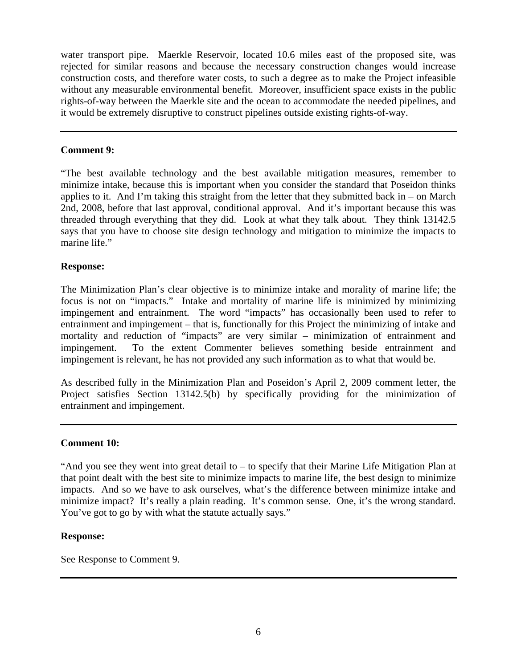water transport pipe. Maerkle Reservoir, located 10.6 miles east of the proposed site, was rejected for similar reasons and because the necessary construction changes would increase construction costs, and therefore water costs, to such a degree as to make the Project infeasible without any measurable environmental benefit. Moreover, insufficient space exists in the public rights-of-way between the Maerkle site and the ocean to accommodate the needed pipelines, and it would be extremely disruptive to construct pipelines outside existing rights-of-way.

## **Comment 9:**

"The best available technology and the best available mitigation measures, remember to minimize intake, because this is important when you consider the standard that Poseidon thinks applies to it. And I'm taking this straight from the letter that they submitted back in – on March 2nd, 2008, before that last approval, conditional approval. And it's important because this was threaded through everything that they did. Look at what they talk about. They think 13142.5 says that you have to choose site design technology and mitigation to minimize the impacts to marine life."

# **Response:**

The Minimization Plan's clear objective is to minimize intake and morality of marine life; the focus is not on "impacts." Intake and mortality of marine life is minimized by minimizing impingement and entrainment. The word "impacts" has occasionally been used to refer to entrainment and impingement – that is, functionally for this Project the minimizing of intake and mortality and reduction of "impacts" are very similar – minimization of entrainment and impingement. To the extent Commenter believes something beside entrainment and impingement is relevant, he has not provided any such information as to what that would be.

As described fully in the Minimization Plan and Poseidon's April 2, 2009 comment letter, the Project satisfies Section 13142.5(b) by specifically providing for the minimization of entrainment and impingement.

# **Comment 10:**

"And you see they went into great detail to – to specify that their Marine Life Mitigation Plan at that point dealt with the best site to minimize impacts to marine life, the best design to minimize impacts. And so we have to ask ourselves, what's the difference between minimize intake and minimize impact? It's really a plain reading. It's common sense. One, it's the wrong standard. You've got to go by with what the statute actually says."

## **Response:**

See Response to Comment 9.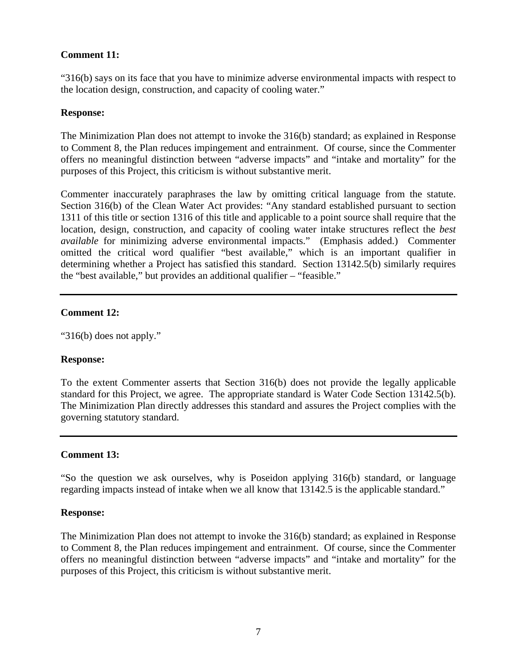# **Comment 11:**

"316(b) says on its face that you have to minimize adverse environmental impacts with respect to the location design, construction, and capacity of cooling water."

### **Response:**

The Minimization Plan does not attempt to invoke the 316(b) standard; as explained in Response to Comment 8, the Plan reduces impingement and entrainment. Of course, since the Commenter offers no meaningful distinction between "adverse impacts" and "intake and mortality" for the purposes of this Project, this criticism is without substantive merit.

Commenter inaccurately paraphrases the law by omitting critical language from the statute. Section 316(b) of the Clean Water Act provides: "Any standard established pursuant to section 1311 of this title or section 1316 of this title and applicable to a point source shall require that the location, design, construction, and capacity of cooling water intake structures reflect the *best available* for minimizing adverse environmental impacts." (Emphasis added.) Commenter omitted the critical word qualifier "best available," which is an important qualifier in determining whether a Project has satisfied this standard. Section 13142.5(b) similarly requires the "best available," but provides an additional qualifier – "feasible."

## **Comment 12:**

"316(b) does not apply."

## **Response:**

To the extent Commenter asserts that Section 316(b) does not provide the legally applicable standard for this Project, we agree. The appropriate standard is Water Code Section 13142.5(b). The Minimization Plan directly addresses this standard and assures the Project complies with the governing statutory standard.

## **Comment 13:**

"So the question we ask ourselves, why is Poseidon applying 316(b) standard, or language regarding impacts instead of intake when we all know that 13142.5 is the applicable standard."

## **Response:**

The Minimization Plan does not attempt to invoke the 316(b) standard; as explained in Response to Comment 8, the Plan reduces impingement and entrainment. Of course, since the Commenter offers no meaningful distinction between "adverse impacts" and "intake and mortality" for the purposes of this Project, this criticism is without substantive merit.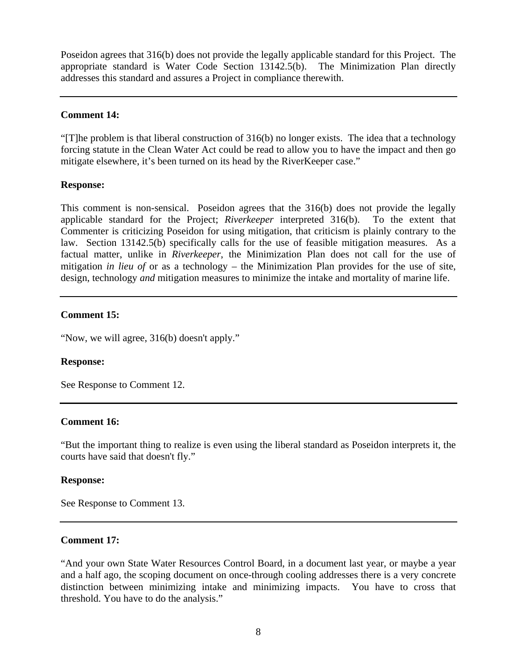Poseidon agrees that 316(b) does not provide the legally applicable standard for this Project. The appropriate standard is Water Code Section 13142.5(b). The Minimization Plan directly addresses this standard and assures a Project in compliance therewith.

## **Comment 14:**

"[T]he problem is that liberal construction of 316(b) no longer exists. The idea that a technology forcing statute in the Clean Water Act could be read to allow you to have the impact and then go mitigate elsewhere, it's been turned on its head by the RiverKeeper case."

## **Response:**

This comment is non-sensical. Poseidon agrees that the 316(b) does not provide the legally applicable standard for the Project; *Riverkeeper* interpreted 316(b). To the extent that Commenter is criticizing Poseidon for using mitigation, that criticism is plainly contrary to the law. Section 13142.5(b) specifically calls for the use of feasible mitigation measures. As a factual matter, unlike in *Riverkeeper*, the Minimization Plan does not call for the use of mitigation *in lieu of* or as a technology – the Minimization Plan provides for the use of site, design, technology *and* mitigation measures to minimize the intake and mortality of marine life.

## **Comment 15:**

"Now, we will agree, 316(b) doesn't apply."

## **Response:**

See Response to Comment 12.

## **Comment 16:**

"But the important thing to realize is even using the liberal standard as Poseidon interprets it, the courts have said that doesn't fly."

## **Response:**

See Response to Comment 13.

## **Comment 17:**

"And your own State Water Resources Control Board, in a document last year, or maybe a year and a half ago, the scoping document on once-through cooling addresses there is a very concrete distinction between minimizing intake and minimizing impacts. You have to cross that threshold. You have to do the analysis."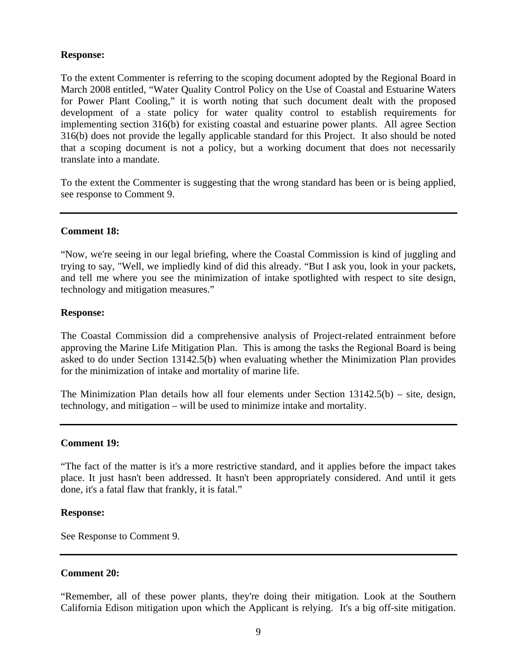## **Response:**

To the extent Commenter is referring to the scoping document adopted by the Regional Board in March 2008 entitled, "Water Quality Control Policy on the Use of Coastal and Estuarine Waters for Power Plant Cooling," it is worth noting that such document dealt with the proposed development of a state policy for water quality control to establish requirements for implementing section 316(b) for existing coastal and estuarine power plants. All agree Section 316(b) does not provide the legally applicable standard for this Project. It also should be noted that a scoping document is not a policy, but a working document that does not necessarily translate into a mandate.

To the extent the Commenter is suggesting that the wrong standard has been or is being applied, see response to Comment 9.

## **Comment 18:**

"Now, we're seeing in our legal briefing, where the Coastal Commission is kind of juggling and trying to say, "Well, we impliedly kind of did this already. "But I ask you, look in your packets, and tell me where you see the minimization of intake spotlighted with respect to site design, technology and mitigation measures."

### **Response:**

The Coastal Commission did a comprehensive analysis of Project-related entrainment before approving the Marine Life Mitigation Plan. This is among the tasks the Regional Board is being asked to do under Section 13142.5(b) when evaluating whether the Minimization Plan provides for the minimization of intake and mortality of marine life.

The Minimization Plan details how all four elements under Section 13142.5(b) – site, design, technology, and mitigation – will be used to minimize intake and mortality.

#### **Comment 19:**

"The fact of the matter is it's a more restrictive standard, and it applies before the impact takes place. It just hasn't been addressed. It hasn't been appropriately considered. And until it gets done, it's a fatal flaw that frankly, it is fatal."

#### **Response:**

See Response to Comment 9.

#### **Comment 20:**

"Remember, all of these power plants, they're doing their mitigation. Look at the Southern California Edison mitigation upon which the Applicant is relying. It's a big off-site mitigation.